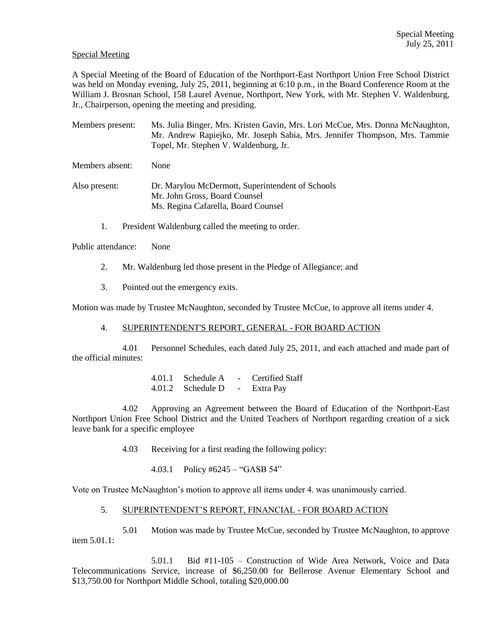## Special Meeting

A Special Meeting of the Board of Education of the Northport-East Northport Union Free School District was held on Monday evening, July 25, 2011, beginning at 6:10 p.m., in the Board Conference Room at the William J. Brosnan School, 158 Laurel Avenue, Northport, New York, with Mr. Stephen V. Waldenburg, Jr., Chairperson, opening the meeting and presiding.

Members present: Ms. Julia Binger, Mrs. Kristen Gavin, Mrs. Lori McCue, Mrs. Donna McNaughton, Mr. Andrew Rapiejko, Mr. Joseph Sabia, Mrs. Jennifer Thompson, Mrs. Tammie Topel, Mr. Stephen V. Waldenburg, Jr.

Members absent: None

- Also present: Dr. Marylou McDermott, Superintendent of Schools Mr. John Gross, Board Counsel Ms. Regina Cafarella, Board Counsel
	- 1. President Waldenburg called the meeting to order.

Public attendance: None

- 2. Mr. Waldenburg led those present in the Pledge of Allegiance; and
- 3. Pointed out the emergency exits.

Motion was made by Trustee McNaughton, seconded by Trustee McCue, to approve all items under 4.

4. SUPERINTENDENT'S REPORT, GENERAL - FOR BOARD ACTION

4.01 Personnel Schedules, each dated July 25, 2011, and each attached and made part of the official minutes:

> 4.01.1 Schedule A - Certified Staff 4.01.2 Schedule D - Extra Pay

4.02 Approving an Agreement between the Board of Education of the Northport-East Northport Union Free School District and the United Teachers of Northport regarding creation of a sick leave bank for a specific employee

4.03 Receiving for a first reading the following policy:

4.03.1 Policy #6245 – "GASB 54"

Vote on Trustee McNaughton's motion to approve all items under 4. was unanimously carried.

## 5. SUPERINTENDENT'S REPORT, FINANCIAL - FOR BOARD ACTION

5.01 Motion was made by Trustee McCue, seconded by Trustee McNaughton, to approve item 5.01.1:

5.01.1 Bid #11-105 – Construction of Wide Area Network, Voice and Data Telecommunications Service, increase of \$6,250.00 for Bellerose Avenue Elementary School and \$13,750.00 for Northport Middle School, totaling \$20,000.00